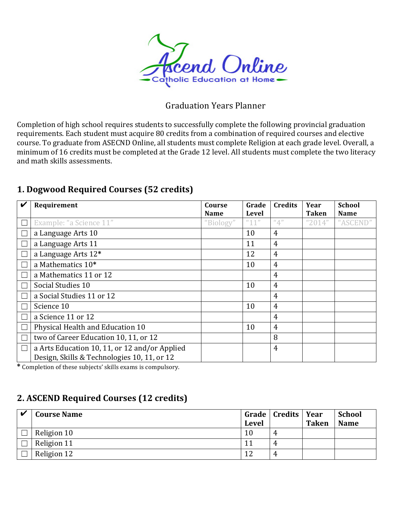

### Graduation Years Planner

Completion of high school requires students to successfully complete the following provincial graduation requirements. Each student must acquire 80 credits from a combination of required courses and elective course. To graduate from ASECND Online, all students must complete Religion at each grade level. Overall, a minimum of 16 credits must be completed at the Grade 12 level. All students must complete the two literacy and math skills assessments.

## **1. Dogwood Required Courses (52 credits)**

| V      | Requirement                                   | Course<br><b>Name</b> | Grade<br>Level        | <b>Credits</b>   | Year<br><b>Taken</b> | <b>School</b><br><b>Name</b> |
|--------|-----------------------------------------------|-----------------------|-----------------------|------------------|----------------------|------------------------------|
| L      | Example: "a Science 11"                       | "Biology"             | $^{\prime\prime}$ 11" | $^u\mathbb{A}^n$ | "2014"               | "ASCEND"                     |
| Г      | a Language Arts 10                            |                       | 10                    | $\overline{4}$   |                      |                              |
| L      | a Language Arts 11                            |                       | 11                    | 4                |                      |                              |
| Г      | a Language Arts 12*                           |                       | 12                    | 4                |                      |                              |
| Г      | a Mathematics 10 <sup>*</sup>                 |                       | 10                    | 4                |                      |                              |
| Г      | a Mathematics 11 or 12                        |                       |                       | $\overline{4}$   |                      |                              |
| Г      | Social Studies 10                             |                       | 10                    | $\overline{4}$   |                      |                              |
| Г      | a Social Studies 11 or 12                     |                       |                       | $\overline{4}$   |                      |                              |
| L      | Science 10                                    |                       | 10                    | $\overline{4}$   |                      |                              |
| Г      | a Science 11 or 12                            |                       |                       | 4                |                      |                              |
| Г      | Physical Health and Education 10              |                       | 10                    | 4                |                      |                              |
| Г      | two of Career Education 10, 11, or 12         |                       |                       | 8                |                      |                              |
| $\Box$ | a Arts Education 10, 11, or 12 and/or Applied |                       |                       | $\overline{4}$   |                      |                              |
|        | Design, Skills & Technologies 10, 11, or 12   |                       |                       |                  |                      |                              |

 $*$  Completion of these subjects' skills exams is compulsory.

## **2. ASCEND Required Courses (12 credits)**

| $\boldsymbol{\nu}$ | <b>Course Name</b> | <b>Level</b> | Grade   Credits   Year | <b>Taken</b> | <b>School</b><br><b>Name</b> |
|--------------------|--------------------|--------------|------------------------|--------------|------------------------------|
|                    | Religion 10        | 10           |                        |              |                              |
|                    | Religion 11        | 11           |                        |              |                              |
|                    | Religion 12        | 12           |                        |              |                              |